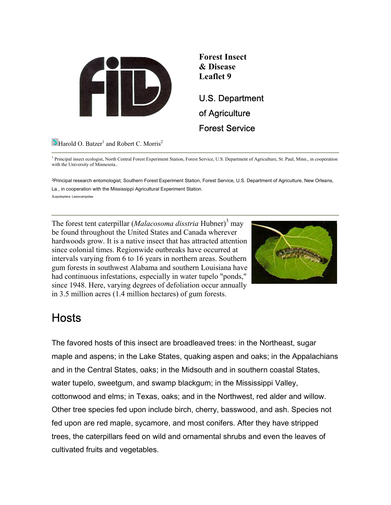



<sup>1</sup> Principal insect ecologist, North Central Forest Experiment Station, Forest Service, U.S. Department of Agriculture, St. Paul, Minn., in cooperation with the University of Minnesota..

2Principal research entomologist, Southern Forest Experiment Station, Forest Service, U.S. Department of Agriculture, New Orleans, La., in cooperation with the Mississippi Agricultural Experiment Station.

3Lepidoptera: Lasiocampidae

The forest tent caterpillar (*Malacosoma disstria* Hubner)<sup>3</sup> may be found throughout the United States and Canada wherever hardwoods grow. It is a native insect that has attracted attention since colonial times. Regionwide outbreaks have occurred at intervals varying from 6 to 16 years in northern areas. Southern gum forests in southwest Alabama and southern Louisiana have had continuous infestations, especially in water tupelo "ponds," since 1948. Here, varying degrees of defoliation occur annually in 3.5 million acres (1.4 million hectares) of gum forests.



### Hosts

The favored hosts of this insect are broadleaved trees: in the Northeast, sugar maple and aspens; in the Lake States, quaking aspen and oaks; in the Appalachians and in the Central States, oaks; in the Midsouth and in southern coastal States, water tupelo, sweetgum, and swamp blackgum; in the Mississippi Valley, cottonwood and elms; in Texas, oaks; and in the Northwest, red alder and willow. Other tree species fed upon include birch, cherry, basswood, and ash. Species not fed upon are red maple, sycamore, and most conifers. After they have stripped trees, the caterpillars feed on wild and ornamental shrubs and even the leaves of cultivated fruits and vegetables.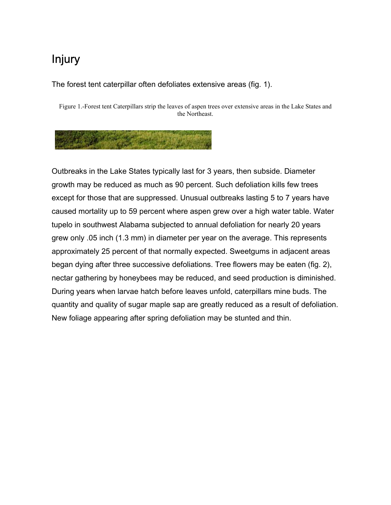# Injury

#### The forest tent caterpillar often defoliates extensive areas (fig. 1).

Figure 1.-Forest tent Caterpillars strip the leaves of aspen trees over extensive areas in the Lake States and the Northeast.

Outbreaks in the Lake States typically last for 3 years, then subside. Diameter growth may be reduced as much as 90 percent. Such defoliation kills few trees except for those that are suppressed. Unusual outbreaks lasting 5 to 7 years have caused mortality up to 59 percent where aspen grew over a high water table. Water tupelo in southwest Alabama subjected to annual defoliation for nearly 20 years grew only .05 inch (1.3 mm) in diameter per year on the average. This represents approximately 25 percent of that normally expected. Sweetgums in adjacent areas began dying after three successive defoliations. Tree flowers may be eaten (fig. 2), nectar gathering by honeybees may be reduced, and seed production is diminished. During years when larvae hatch before leaves unfold, caterpillars mine buds. The quantity and quality of sugar maple sap are greatly reduced as a result of defoliation. New foliage appearing after spring defoliation may be stunted and thin.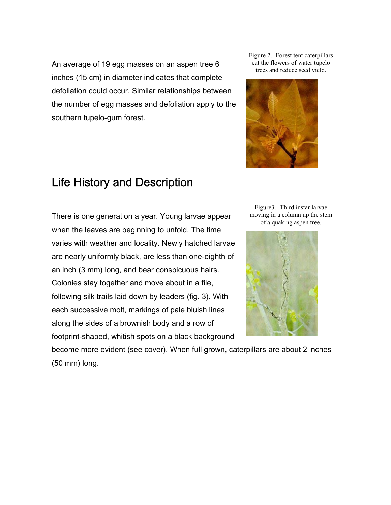An average of 19 egg masses on an aspen tree 6 inches (15 cm) in diameter indicates that complete defoliation could occur. Similar relationships between the number of egg masses and defoliation apply to the southern tupelo-gum forest.

### Life History and Description

There is one generation a year. Young larvae appear when the leaves are beginning to unfold. The time varies with weather and locality. Newly hatched larvae are nearly uniformly black, are less than one-eighth of an inch (3 mm) long, and bear conspicuous hairs. Colonies stay together and move about in a file, following silk trails laid down by leaders (fig. 3). With each successive molt, markings of pale bluish lines along the sides of a brownish body and a row of footprint-shaped, whitish spots on a black background

Figure 2.- Forest tent caterpillars eat the flowers of water tupelo trees and reduce seed yield.



Figure3.- Third instar larvae moving in a column up the stem of a quaking aspen tree.



become more evident (see cover). When full grown, caterpillars are about 2 inches (50 mm) long.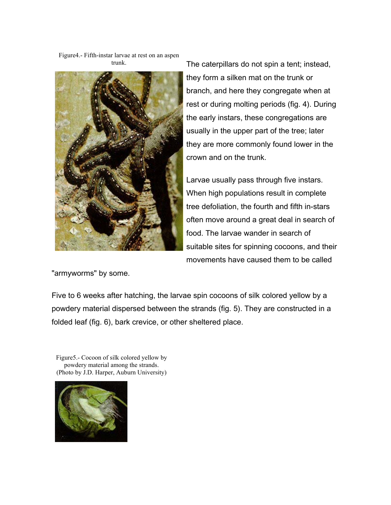Figure4.- Fifth-instar larvae at rest on an aspen trunk.



The caterpillars do not spin a tent; instead, they form a silken mat on the trunk or branch, and here they congregate when at rest or during molting periods (fig. 4). During the early instars, these congregations are usually in the upper part of the tree; later they are more commonly found lower in the crown and on the trunk.

Larvae usually pass through five instars. When high populations result in complete tree defoliation, the fourth and fifth in-stars often move around a great deal in search of food. The larvae wander in search of suitable sites for spinning cocoons, and their movements have caused them to be called

"armyworms" by some.

Five to 6 weeks after hatching, the larvae spin cocoons of silk colored yellow by a powdery material dispersed between the strands (fig. 5). They are constructed in a folded leaf (fig. 6), bark crevice, or other sheltered place.

Figure5.- Cocoon of silk colored yellow by powdery material among the strands. (Photo by J.D. Harper, Auburn University)

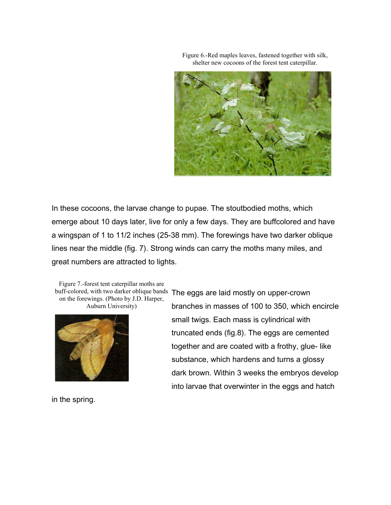

Figure 6.-Red maples leaves, fastened together with silk, shelter new cocoons of the forest tent caterpillar.

In these cocoons, the larvae change to pupae. The stoutbodied moths, which emerge about 10 days later, live for only a few days. They are buffcolored and have a wingspan of 1 to 11/2 inches (25-38 mm). The forewings have two darker oblique lines near the middle (fig. 7). Strong winds can carry the moths many miles, and great numbers are attracted to lights.

Figure 7.-forest tent caterpillar moths are on the forewings. (Photo by J.D. Harper, Auburn University)



in the spring.

buff-colored, with two darker oblique bands The eggs are laid mostly on upper-crown branches in masses of 100 to 350, which encircle small twigs. Each mass is cylindrical with truncated ends (fig.8). The eggs are cemented together and are coated witb a frothy, glue- like substance, which hardens and turns a glossy dark brown. Within 3 weeks the embryos develop into larvae that overwinter in the eggs and hatch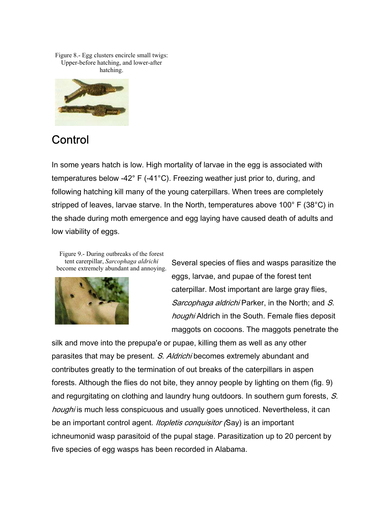Figure 8.- Egg clusters encircle small twigs: Upper-before hatching, and lower-after hatching.



## **Control**

In some years hatch is low. High mortality of larvae in the egg is associated with temperatures below -42° F (-41°C). Freezing weather just prior to, during, and following hatching kill many of the young caterpillars. When trees are completely stripped of leaves, larvae starve. In the North, temperatures above 100° F (38°C) in the shade during moth emergence and egg laying have caused death of adults and low viability of eggs.

Figure 9.- During outbreaks of the forest tent carerpillar, *Sarcophaga aldrichi* become extremely abundant and annoying.



Several species of flies and wasps parasitize the eggs, larvae, and pupae of the forest tent caterpillar. Most important are large gray flies, Sarcophaga aldrichi Parker, in the North; and S. houghi Aldrich in the South. Female flies deposit maggots on cocoons. The maggots penetrate the

silk and move into the prepupa'e or pupae, killing them as well as any other parasites that may be present. S. Aldrichi becomes extremely abundant and contributes greatly to the termination of out breaks of the caterpillars in aspen forests. Although the flies do not bite, they annoy people by lighting on them (fig. 9) and regurgitating on clothing and laundry hung outdoors. In southern gum forests, S. houghi is much less conspicuous and usually goes unnoticed. Nevertheless, it can be an important control agent. *Itopletis conquisitor* (Say) is an important ichneumonid wasp parasitoid of the pupal stage. Parasitization up to 20 percent by five species of egg wasps has been recorded in Alabama.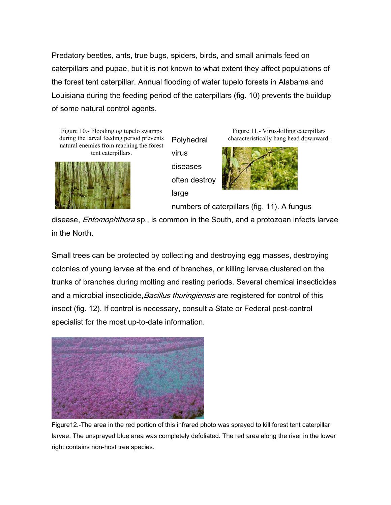Predatory beetles, ants, true bugs, spiders, birds, and small animals feed on caterpillars and pupae, but it is not known to what extent they affect populations of the forest tent caterpillar. Annual flooding of water tupelo forests in Alabama and Louisiana during the feeding period of the caterpillars (fig. 10) prevents the buildup of some natural control agents.

Figure 10.- Flooding og tupelo swamps during the larval feeding period prevents natural enemies from reaching the forest tent caterpillars.



**Polyhedral** virus diseases often destroy large

Figure 11.- Virus-killing caterpillars characteristically hang head downward.



numbers of caterpillars (fig. 11). A fungus

disease, *Entomophthora* sp., is common in the South, and a protozoan infects larvae in the North.

Small trees can be protected by collecting and destroying egg masses, destroying colonies of young larvae at the end of branches, or killing larvae clustered on the trunks of branches during molting and resting periods. Several chemical insecticides and a microbial insecticide, Bacillus thuringiensis are registered for control of this insect (fig. 12). If control is necessary, consult a State or Federal pest-control specialist for the most up-to-date information.



Figure12.-The area in the red portion of this infrared photo was sprayed to kill forest tent caterpillar larvae. The unsprayed blue area was completely defoliated. The red area along the river in the lower right contains non-host tree species.